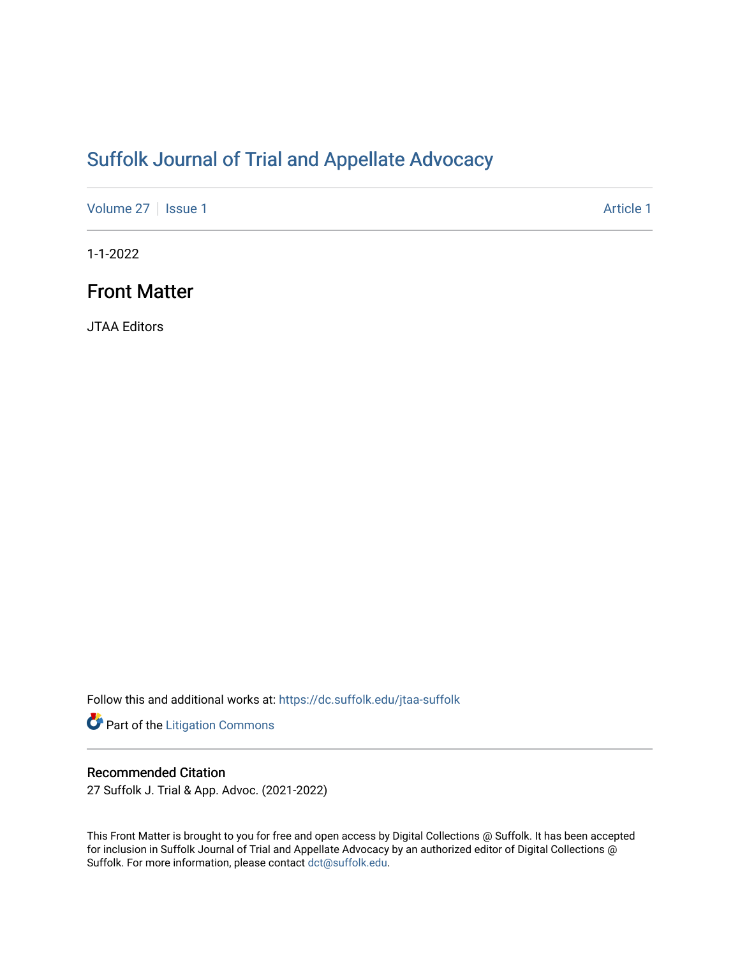## [Suffolk Journal of Trial and Appellate Advocacy](https://dc.suffolk.edu/jtaa-suffolk)

[Volume 27](https://dc.suffolk.edu/jtaa-suffolk/vol27) | [Issue 1](https://dc.suffolk.edu/jtaa-suffolk/vol27/iss1) Article 1

1-1-2022

## Front Matter

JTAA Editors

Follow this and additional works at: [https://dc.suffolk.edu/jtaa-suffolk](https://dc.suffolk.edu/jtaa-suffolk?utm_source=dc.suffolk.edu%2Fjtaa-suffolk%2Fvol27%2Fiss1%2F1&utm_medium=PDF&utm_campaign=PDFCoverPages) 

Part of the [Litigation Commons](http://network.bepress.com/hgg/discipline/910?utm_source=dc.suffolk.edu%2Fjtaa-suffolk%2Fvol27%2Fiss1%2F1&utm_medium=PDF&utm_campaign=PDFCoverPages)

#### Recommended Citation

27 Suffolk J. Trial & App. Advoc. (2021-2022)

This Front Matter is brought to you for free and open access by Digital Collections @ Suffolk. It has been accepted for inclusion in Suffolk Journal of Trial and Appellate Advocacy by an authorized editor of Digital Collections @ Suffolk. For more information, please contact [dct@suffolk.edu.](mailto:dct@suffolk.edu)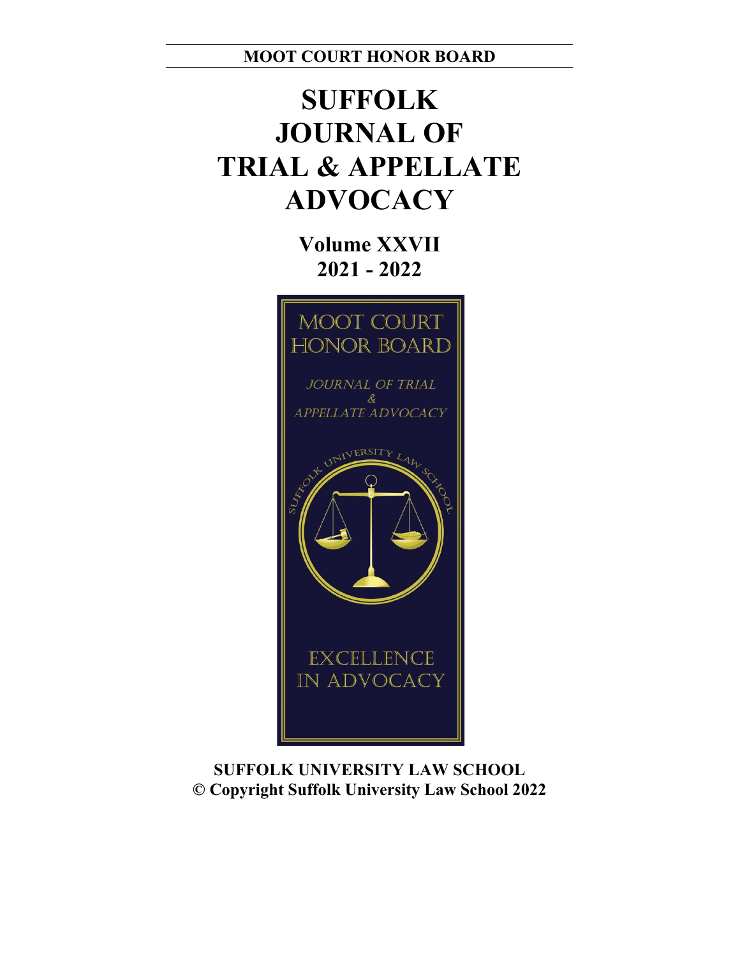**MOOT COURT HONOR BOARD**

# **SUFFOLK JOURNAL OF TRIAL & APPELLATE ADVOCACY**

**Volume XXVII 2021 - 2022**



**SUFFOLK UNIVERSITY LAW SCHOOL © Copyright Suffolk University Law School 2022**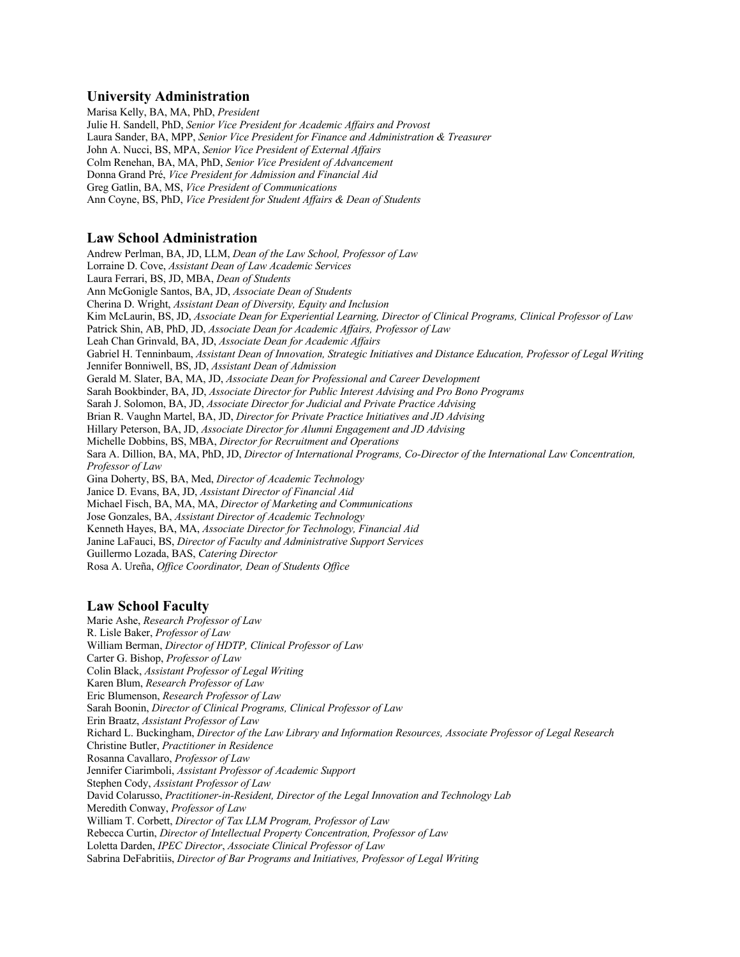#### **University Administration**

Marisa Kelly, BA, MA, PhD, *President* Julie H. Sandell, PhD, *Senior Vice President for Academic Affairs and Provost*  Laura Sander, BA, MPP, *Senior Vice President for Finance and Administration & Treasurer* John A. Nucci, BS, MPA, *Senior Vice President of External Affairs* Colm Renehan, BA, MA, PhD, *Senior Vice President of Advancement* Donna Grand Pré, *Vice President for Admission and Financial Aid* Greg Gatlin, BA, MS, *Vice President of Communications* Ann Coyne, BS, PhD, *Vice President for Student Affairs & Dean of Students*

#### **Law School Administration**

Andrew Perlman, BA, JD, LLM, *Dean of the Law School, Professor of Law* Lorraine D. Cove, *Assistant Dean of Law Academic Services* Laura Ferrari, BS, JD, MBA, *Dean of Students* Ann McGonigle Santos, BA, JD, *Associate Dean of Students* Cherina D. Wright, *Assistant Dean of Diversity, Equity and Inclusion*  Kim McLaurin, BS, JD, *Associate Dean for Experiential Learning, Director of Clinical Programs, Clinical Professor of Law* Patrick Shin, AB, PhD, JD, *Associate Dean for Academic Affairs, Professor of Law* Leah Chan Grinvald, BA, JD, *Associate Dean for Academic Affairs*  Gabriel H. Tenninbaum, *Assistant Dean of Innovation, Strategic Initiatives and Distance Education, Professor of Legal Writing*  Jennifer Bonniwell, BS, JD, *Assistant Dean of Admission*  Gerald M. Slater, BA, MA, JD, *Associate Dean for Professional and Career Development* Sarah Bookbinder, BA, JD, *Associate Director for Public Interest Advising and Pro Bono Programs*  Sarah J. Solomon, BA, JD, *Associate Director for Judicial and Private Practice Advising* Brian R. Vaughn Martel, BA, JD, *Director for Private Practice Initiatives and JD Advising* Hillary Peterson, BA, JD, *Associate Director for Alumni Engagement and JD Advising* Michelle Dobbins, BS, MBA, *Director for Recruitment and Operations* Sara A. Dillion, BA, MA, PhD, JD, *Director of International Programs, Co-Director of the International Law Concentration, Professor of Law* Gina Doherty, BS, BA, Med, *Director of Academic Technology* Janice D. Evans, BA, JD, *Assistant Director of Financial Aid*  Michael Fisch, BA, MA, MA, *Director of Marketing and Communications*  Jose Gonzales, BA, *Assistant Director of Academic Technology*  Kenneth Hayes, BA, MA, *Associate Director for Technology, Financial Aid*  Janine LaFauci, BS, *Director of Faculty and Administrative Support Services*  Guillermo Lozada, BAS, *Catering Director* Rosa A. Ureña, *Office Coordinator, Dean of Students Office* 

#### **Law School Faculty**

Marie Ashe, *Research Professor of Law* R. Lisle Baker, *Professor of Law* William Berman, *Director of HDTP, Clinical Professor of Law* Carter G. Bishop, *Professor of Law* Colin Black, *Assistant Professor of Legal Writing* Karen Blum, *Research Professor of Law* Eric Blumenson, *Research Professor of Law* Sarah Boonin, *Director of Clinical Programs, Clinical Professor of Law* Erin Braatz, *Assistant Professor of Law* Richard L. Buckingham, *Director of the Law Library and Information Resources, Associate Professor of Legal Research* Christine Butler, *Practitioner in Residence* Rosanna Cavallaro, *Professor of Law* Jennifer Ciarimboli, *Assistant Professor of Academic Support* Stephen Cody, *Assistant Professor of Law* David Colarusso, *Practitioner-in-Resident, Director of the Legal Innovation and Technology Lab* Meredith Conway, *Professor of Law* William T. Corbett, *Director of Tax LLM Program, Professor of Law* Rebecca Curtin, *Director of Intellectual Property Concentration, Professor of Law* Loletta Darden, *IPEC Director*, *Associate Clinical Professor of Law* Sabrina DeFabritiis, *Director of Bar Programs and Initiatives, Professor of Legal Writing*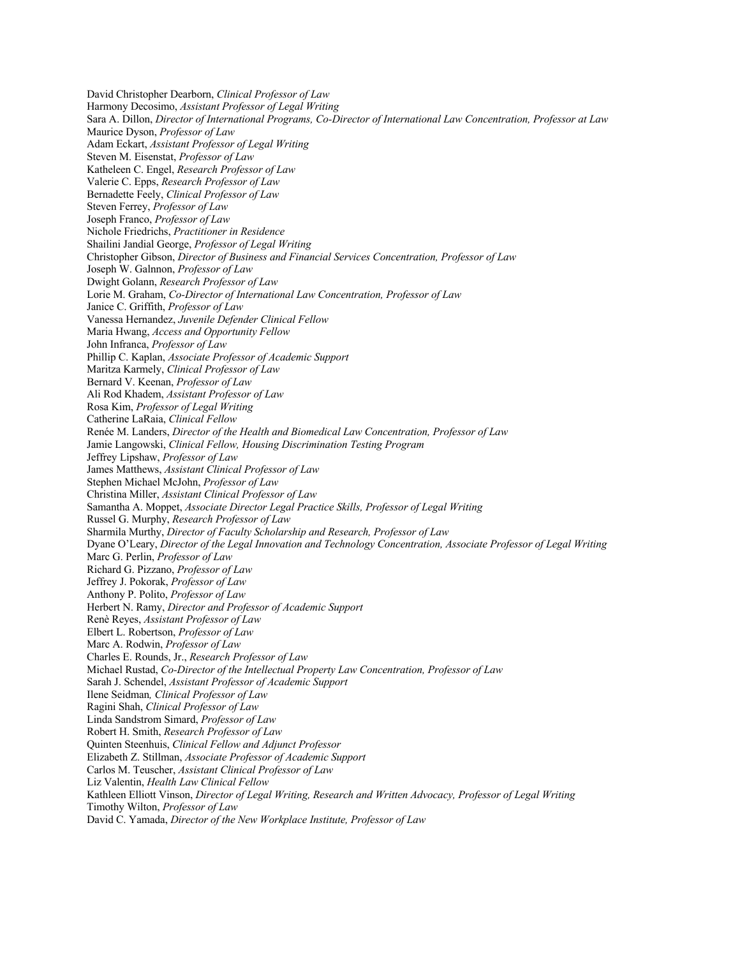David Christopher Dearborn, *Clinical Professor of Law* Harmony Decosimo, *Assistant Professor of Legal Writing* Sara A. Dillon, *Director of International Programs, Co-Director of International Law Concentration, Professor at Law* Maurice Dyson, *Professor of Law* Adam Eckart, *Assistant Professor of Legal Writing* Steven M. Eisenstat, *Professor of Law* Katheleen C. Engel, *Research Professor of Law* Valerie C. Epps, *Research Professor of Law* Bernadette Feely, *Clinical Professor of Law* Steven Ferrey, *Professor of Law* Joseph Franco, *Professor of Law* Nichole Friedrichs, *Practitioner in Residence* Shailini Jandial George, *Professor of Legal Writing* Christopher Gibson, *Director of Business and Financial Services Concentration, Professor of Law* Joseph W. Galnnon, *Professor of Law* Dwight Golann, *Research Professor of Law* Lorie M. Graham, *Co-Director of International Law Concentration, Professor of Law* Janice C. Griffith, *Professor of Law* Vanessa Hernandez, *Juvenile Defender Clinical Fellow* Maria Hwang, *Access and Opportunity Fellow* John Infranca, *Professor of Law* Phillip C. Kaplan, *Associate Professor of Academic Support* Maritza Karmely, *Clinical Professor of Law* Bernard V. Keenan, *Professor of Law* Ali Rod Khadem, *Assistant Professor of Law* Rosa Kim, *Professor of Legal Writing* Catherine LaRaia, *Clinical Fellow* Renée M. Landers, *Director of the Health and Biomedical Law Concentration, Professor of Law* Jamie Langowski, *Clinical Fellow, Housing Discrimination Testing Program* Jeffrey Lipshaw, *Professor of Law* James Matthews, *Assistant Clinical Professor of Law* Stephen Michael McJohn, *Professor of Law* Christina Miller, *Assistant Clinical Professor of Law* Samantha A. Moppet, *Associate Director Legal Practice Skills, Professor of Legal Writing* Russel G. Murphy, *Research Professor of Law* Sharmila Murthy, *Director of Faculty Scholarship and Research, Professor of Law* Dyane O'Leary, *Director of the Legal Innovation and Technology Concentration, Associate Professor of Legal Writing*  Marc G. Perlin, *Professor of Law* Richard G. Pizzano, *Professor of Law* Jeffrey J. Pokorak, *Professor of Law* Anthony P. Polito, *Professor of Law* Herbert N. Ramy, *Director and Professor of Academic Support* Renè Reyes, *Assistant Professor of Law* Elbert L. Robertson, *Professor of Law* Marc A. Rodwin, *Professor of Law* Charles E. Rounds, Jr., *Research Professor of Law* Michael Rustad, *Co-Director of the Intellectual Property Law Concentration, Professor of Law* Sarah J. Schendel, *Assistant Professor of Academic Support* Ilene Seidman*, Clinical Professor of Law* Ragini Shah, *Clinical Professor of Law* Linda Sandstrom Simard, *Professor of Law* Robert H. Smith, *Research Professor of Law* Quinten Steenhuis, *Clinical Fellow and Adjunct Professor* Elizabeth Z. Stillman, *Associate Professor of Academic Support*  Carlos M. Teuscher, *Assistant Clinical Professor of Law* Liz Valentin, *Health Law Clinical Fellow* Kathleen Elliott Vinson, *Director of Legal Writing, Research and Written Advocacy, Professor of Legal Writing* Timothy Wilton, *Professor of Law* David C. Yamada, *Director of the New Workplace Institute, Professor of Law*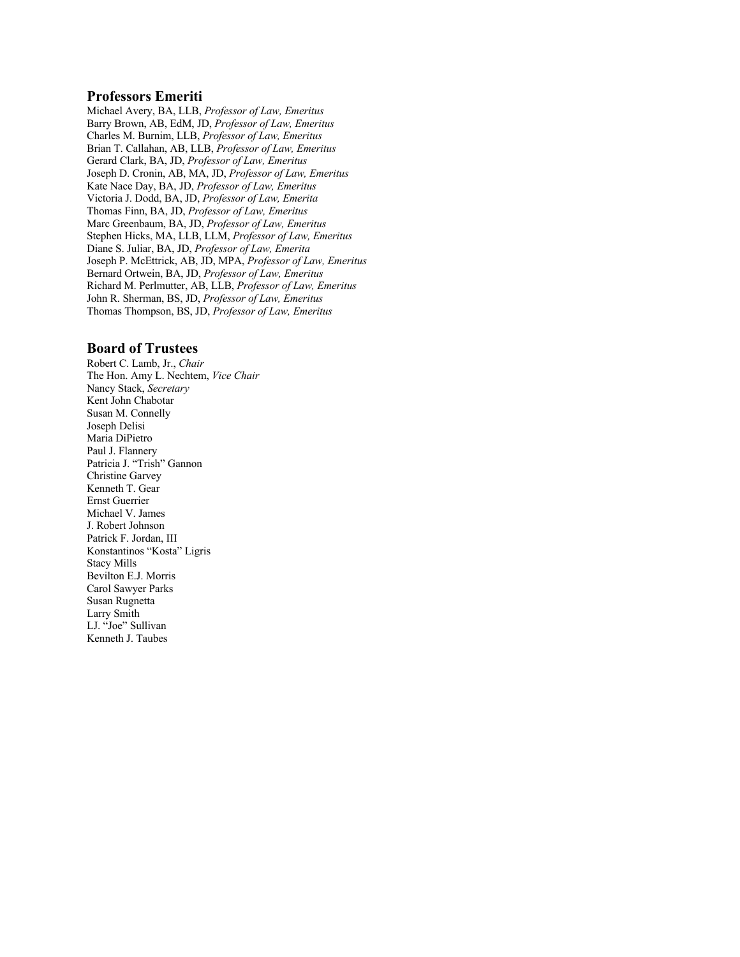#### **Professors Emeriti**

Michael Avery, BA, LLB, *Professor of Law, Emeritus* Barry Brown, AB, EdM, JD, *Professor of Law, Emeritus* Charles M. Burnim, LLB, *Professor of Law, Emeritus* Brian T. Callahan, AB, LLB, *Professor of Law, Emeritus* Gerard Clark, BA, JD, *Professor of Law, Emeritus* Joseph D. Cronin, AB, MA, JD, *Professor of Law, Emeritus* Kate Nace Day, BA, JD, *Professor of Law, Emeritus* Victoria J. Dodd, BA, JD, *Professor of Law, Emerita* Thomas Finn, BA, JD, *Professor of Law, Emeritus* Marc Greenbaum, BA, JD, *Professor of Law, Emeritus* Stephen Hicks, MA, LLB, LLM, *Professor of Law, Emeritus* Diane S. Juliar, BA, JD, *Professor of Law, Emerita* Joseph P. McEttrick, AB, JD, MPA, *Professor of Law, Emeritus* Bernard Ortwein, BA, JD, *Professor of Law, Emeritus*  Richard M. Perlmutter, AB, LLB, *Professor of Law, Emeritus* John R. Sherman, BS, JD, *Professor of Law, Emeritus* Thomas Thompson, BS, JD, *Professor of Law, Emeritus*

#### **Board of Trustees**

Robert C. Lamb, Jr., *Chair* The Hon. Amy L. Nechtem, *Vice Chair* Nancy Stack, *Secretary*  Kent John Chabotar Susan M. Connelly Joseph Delisi Maria DiPietro Paul J. Flannery Patricia J. "Trish" Gannon Christine Garvey Kenneth T. Gear Ernst Guerrier Michael V. James J. Robert Johnson Patrick F. Jordan, III Konstantinos "Kosta" Ligris Stacy Mills Bevilton E.J. Morris Carol Sawyer Parks Susan Rugnetta Larry Smith LJ. "Joe" Sullivan Kenneth J. Taubes